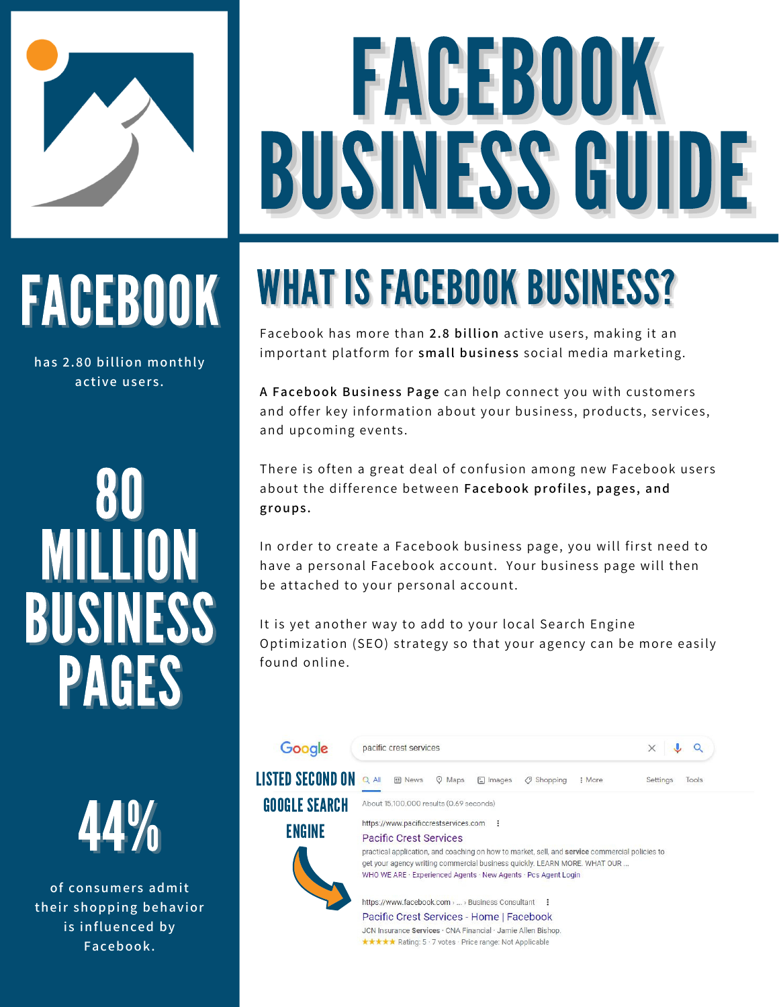

# FACEBOOK BUSINESS GUIDE

# FACEBOOK

**has 2.80 billion monthly active users.**

# 80 MILLION BUSINESS PAGES

44%

**of consumers admit their shopping behavior is influenced by Facebook.**

# WHAT IS FACEBOOK BUSINESS?

Facebook has more than **2.8 billion** active users, making it an important platform for **small business** social media marketing.

**A Facebook Business Page** can help connect you with customers and offer key information about your business, products, services, and upcoming events.

There is often a great deal of confusion among new Facebook users about the difference between **Facebook profiles, pages, and [groups.](https://www.thebalancesmb.com/using-facebook-groups-in-home-business-4169334)**

In order to create a Facebook business page, you will first need to have a personal Facebook account. Your business page will then be attached to your personal account.

It is yet another way to add to your local Search Engine Optimization (SEO) strategy so that your agency can be more easily found online.

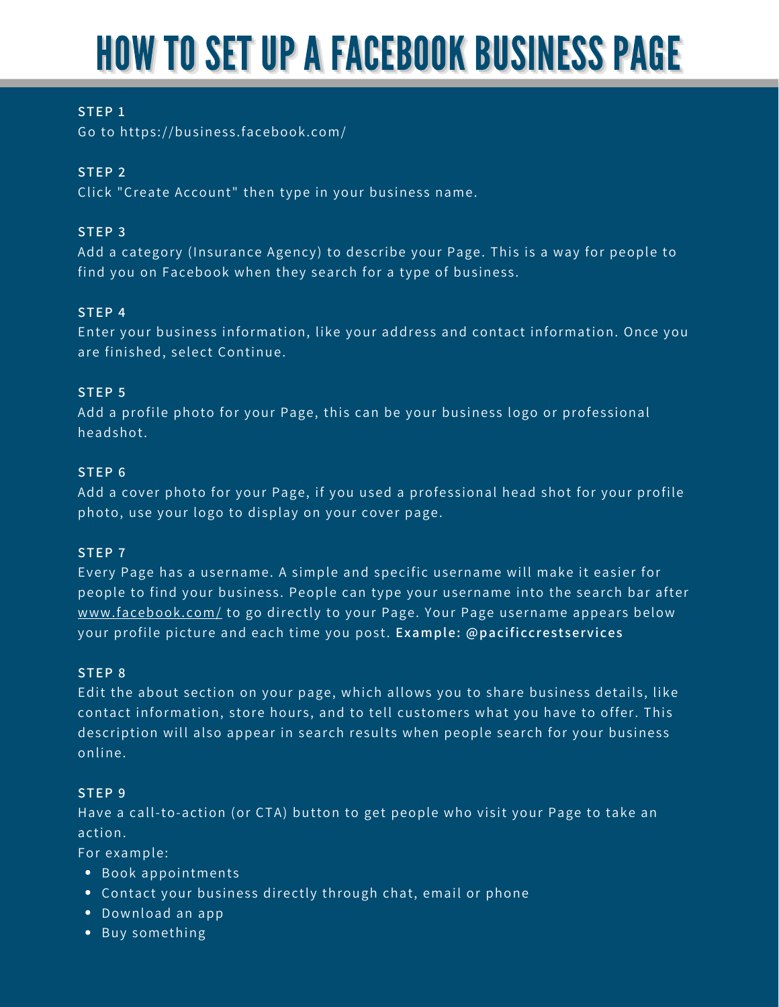### HOW TO SET UP A FACEBOOK BUSINESS PAGE

#### **STEP 1**

Go to <https://business.facebook.com/>

#### **STEP 2**

Click "Create Account" then type in your business name.

#### **STEP 3**

Add a category (Insurance Agency) to describe your Page. This is a way for people to find you on Facebook when they search for a type of business.

#### **STEP 4**

Enter your business information, like your address and contact information. Once you are finished, select Continue.

#### **STEP 5**

Add a profile photo for your Page, this can be your business logo or professional headshot.

#### **STEP 6**

Add a cover photo for your Page, if you used a professional head shot for your profile photo, use your logo to display on your cover page.

#### **STEP 7**

Every Page has a username. A simple and specific username will make it easier for people to find your business. People can type your username into the search bar after [www.facebook.com/](https://www.facebook.com/) to go directly to your Page. Your Page username appears below your profile picture and each time you post. **Example: @pacificcrestservices**

#### **STEP 8**

Edit the about section on your page, which allows you to share business details, like contact information, store hours, and to tell customers what you have to offer. This description will also appear in search results when people search for your business online.

#### **STEP 9**

Have a call-to-action (or CTA) button to get people who visit your Page to take an action.

For example:

- Book appointments
- Contact your business directly through chat, email or phone
- Download an app
- Buy something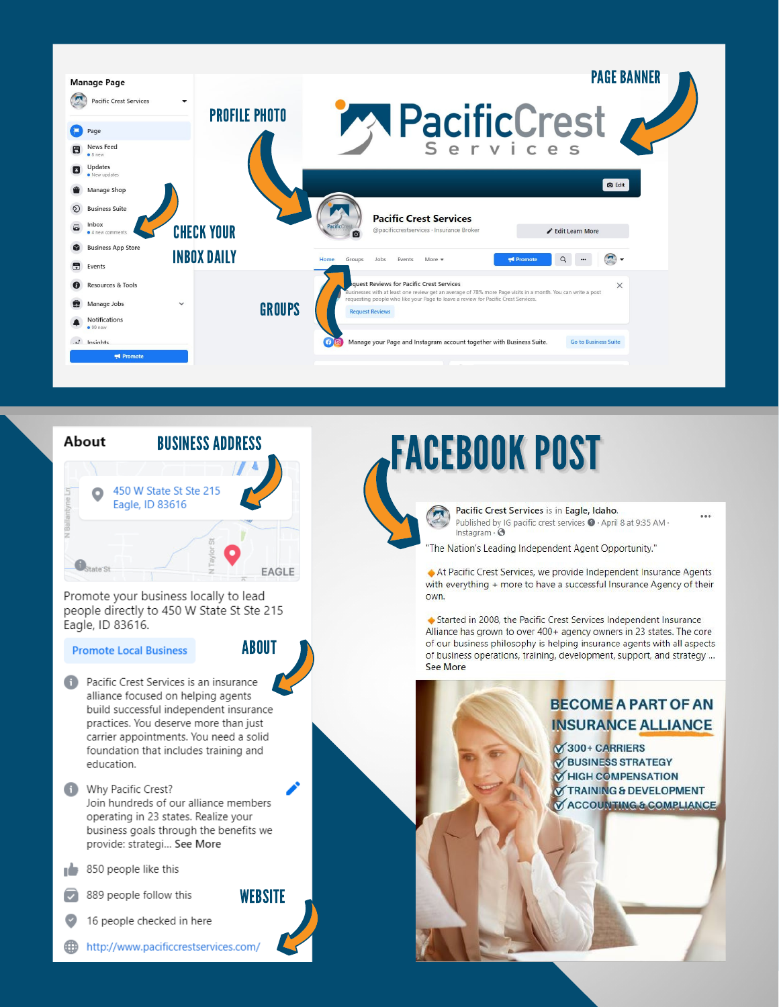



Promote your business locally to lead people directly to 450 W State St Ste 215 Eagle, ID 83616.

**Promote Local Business** 

**ABOUT** 

**WEBSITE** 

- Pacific Crest Services is an insurance o alliance focused on helping agents build successful independent insurance practices. You deserve more than just carrier appointments. You need a solid foundation that includes training and education.
- Why Pacific Crest? Join hundreds of our alliance members operating in 23 states. Realize your business goals through the benefits we provide: strategi... See More
- ı6 850 people like this
- $\overline{\mathbf{z}}$ 889 people follow this

16 people checked in here

∰ http://www.pacificcrestservices.com/

### **FACEBOOK POST**

Pacific Crest Services is in Eagle, Idaho. Published by IG pacific crest services  $\bullet$  - April 8 at 9:35 AM - Instagram -  $\bullet$ 

...

"The Nation's Leading Independent Agent Opportunity."

At Pacific Crest Services, we provide Independent Insurance Agents with everything + more to have a successful Insurance Agency of their own.

Started in 2008, the Pacific Crest Services Independent Insurance Alliance has grown to over 400+ agency owners in 23 states. The core of our business philosophy is helping insurance agents with all aspects of business operations, training, development, support, and strategy ... See More

#### **BECOME A PART OF AN INSURANCE ALLIANCE**

**S300+ CARRIERS Ø BUSINESS STRATEGY MHIGH COMPENSATION TRAINING & DEVELOPMENT ACCOUNTING & COMPLIANCE**